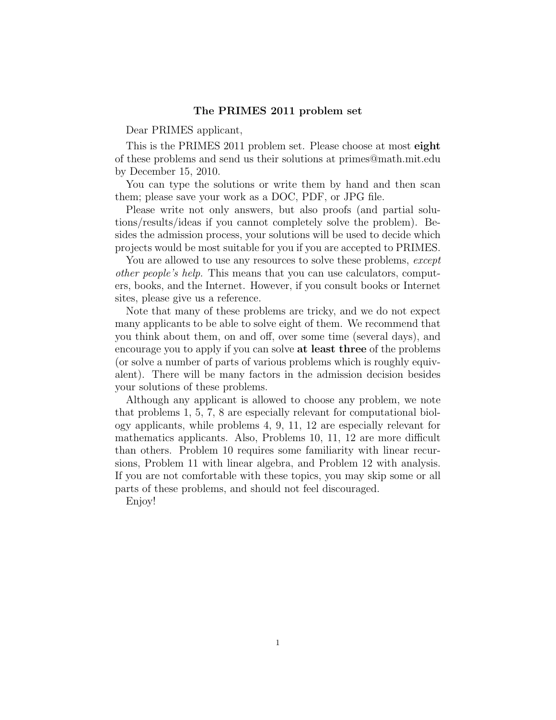## The PRIMES 2011 problem set

Dear PRIMES applicant,

This is the PRIMES 2011 problem set. Please choose at most eight of these problems and send us their solutions at primes@math.mit.edu by December 15, 2010.

You can type the solutions or write them by hand and then scan them; please save your work as a DOC, PDF, or JPG file.

Please write not only answers, but also proofs (and partial solutions/results/ideas if you cannot completely solve the problem). Besides the admission process, your solutions will be used to decide which projects would be most suitable for you if you are accepted to PRIMES.

You are allowed to use any resources to solve these problems, except other people's help. This means that you can use calculators, computers, books, and the Internet. However, if you consult books or Internet sites, please give us a reference.

Note that many of these problems are tricky, and we do not expect many applicants to be able to solve eight of them. We recommend that you think about them, on and off, over some time (several days), and encourage you to apply if you can solve at least three of the problems (or solve a number of parts of various problems which is roughly equivalent). There will be many factors in the admission decision besides your solutions of these problems.

Although any applicant is allowed to choose any problem, we note that problems 1, 5, 7, 8 are especially relevant for computational biology applicants, while problems 4, 9, 11, 12 are especially relevant for mathematics applicants. Also, Problems 10, 11, 12 are more difficult than others. Problem 10 requires some familiarity with linear recursions, Problem 11 with linear algebra, and Problem 12 with analysis. If you are not comfortable with these topics, you may skip some or all parts of these problems, and should not feel discouraged.

Enjoy!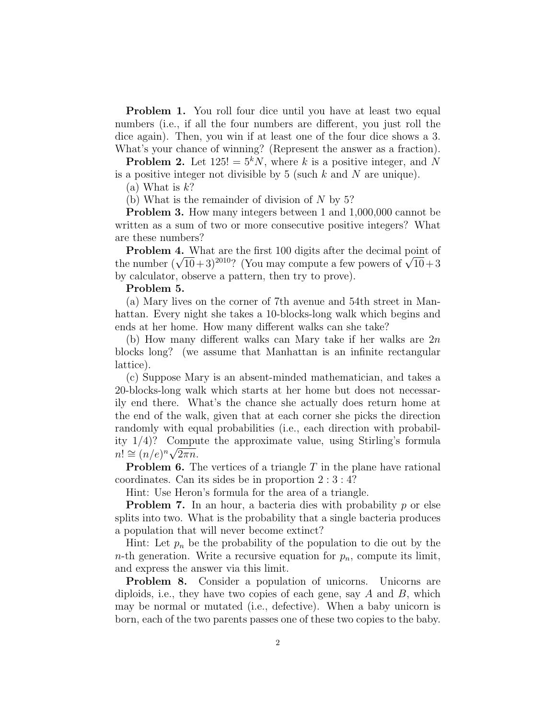**Problem 1.** You roll four dice until you have at least two equal numbers (i.e., if all the four numbers are different, you just roll the dice again). Then, you win if at least one of the four dice shows a 3. What's your chance of winning? (Represent the answer as a fraction).

**Problem 2.** Let  $125! = 5^kN$ , where k is a positive integer, and N is a positive integer not divisible by 5 (such  $k$  and  $N$  are unique).

(a) What is  $k$ ?

(b) What is the remainder of division of  $N$  by 5?

**Problem 3.** How many integers between 1 and 1,000,000 cannot be written as a sum of two or more consecutive positive integers? What are these numbers?

Problem 4. What are the first 100 digits after the decimal point of **Problem 4.** What are the first 100 digits after the decimal point of the number  $(\sqrt{10}+3)^{2010}$ ? (You may compute a few powers of  $\sqrt{10}+3$ ) by calculator, observe a pattern, then try to prove).

## Problem 5.

(a) Mary lives on the corner of 7th avenue and 54th street in Manhattan. Every night she takes a 10-blocks-long walk which begins and ends at her home. How many different walks can she take?

(b) How many different walks can Mary take if her walks are  $2n$ blocks long? (we assume that Manhattan is an infinite rectangular lattice).

(c) Suppose Mary is an absent-minded mathematician, and takes a 20-blocks-long walk which starts at her home but does not necessarily end there. What's the chance she actually does return home at the end of the walk, given that at each corner she picks the direction randomly with equal probabilities (i.e., each direction with probability  $1/4$ ? Compute the approximate value, using Stirling's formula  $n! \cong (n/e)^n \sqrt{2\pi n}.$ 

**Problem 6.** The vertices of a triangle  $T$  in the plane have rational coordinates. Can its sides be in proportion 2 : 3 : 4?

Hint: Use Heron's formula for the area of a triangle.

**Problem 7.** In an hour, a bacteria dies with probability  $p$  or else splits into two. What is the probability that a single bacteria produces a population that will never become extinct?

Hint: Let  $p_n$  be the probability of the population to die out by the *n*-th generation. Write a recursive equation for  $p_n$ , compute its limit, and express the answer via this limit.

Problem 8. Consider a population of unicorns. Unicorns are diploids, i.e., they have two copies of each gene, say  $A$  and  $B$ , which may be normal or mutated (i.e., defective). When a baby unicorn is born, each of the two parents passes one of these two copies to the baby.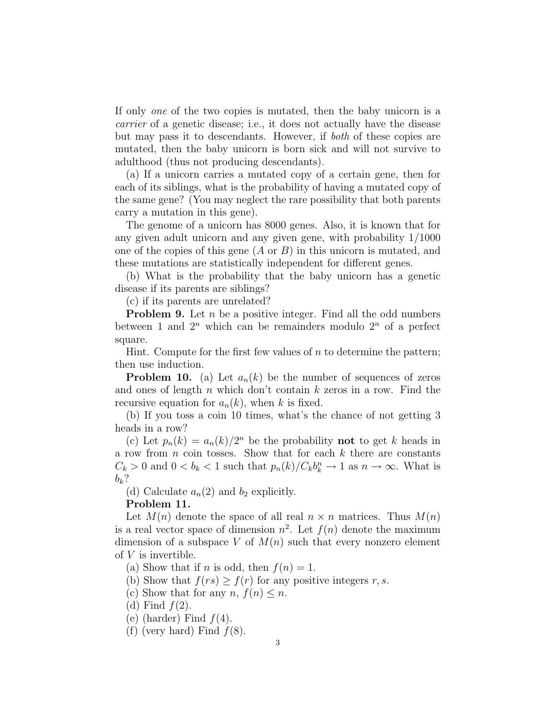If only one of the two copies is mutated, then the baby unicorn is a carrier of a genetic disease; i.e., it does not actually have the disease but may pass it to descendants. However, if both of these copies are mutated, then the baby unicorn is born sick and will not survive to adulthood (thus not producing descendants).

(a) If a unicorn carries a mutated copy of a certain gene, then for each of its siblings, what is the probability of having a mutated copy of the same gene? (You may neglect the rare possibility that both parents carry a mutation in this gene).

The genome of a unicorn has 8000 genes. Also, it is known that for any given adult unicorn and any given gene, with probability 1/1000 one of the copies of this gene  $(A \text{ or } B)$  in this unicorn is mutated, and these mutations are statistically independent for different genes.

(b) What is the probability that the baby unicorn has a genetic disease if its parents are siblings?

(c) if its parents are unrelated?

**Problem 9.** Let  $n$  be a positive integer. Find all the odd numbers between 1 and  $2^n$  which can be remainders modulo  $2^n$  of a perfect square.

Hint. Compute for the first few values of  $n$  to determine the pattern; then use induction.

**Problem 10.** (a) Let  $a_n(k)$  be the number of sequences of zeros and ones of length  $n$  which don't contain  $k$  zeros in a row. Find the recursive equation for  $a_n(k)$ , when k is fixed.

(b) If you toss a coin 10 times, what's the chance of not getting 3 heads in a row?

(c) Let  $p_n(k) = a_n(k)/2^n$  be the probability **not** to get k heads in a row from  $n$  coin tosses. Show that for each  $k$  there are constants  $C_k > 0$  and  $0 < b_k < 1$  such that  $p_n(k)/C_k b_k^n \to 1$  as  $n \to \infty$ . What is  $b_k$ ?

(d) Calculate  $a_n(2)$  and  $b_2$  explicitly.

## Problem 11.

Let  $M(n)$  denote the space of all real  $n \times n$  matrices. Thus  $M(n)$ is a real vector space of dimension  $n^2$ . Let  $f(n)$  denote the maximum dimension of a subspace V of  $M(n)$  such that every nonzero element of  $V$  is invertible.

(a) Show that if *n* is odd, then  $f(n) = 1$ .

(b) Show that  $f(rs) \geq f(r)$  for any positive integers r, s.

(c) Show that for any  $n, f(n) \leq n$ .

- (d) Find  $f(2)$ .
- (e) (harder) Find  $f(4)$ .

(f) (very hard) Find  $f(8)$ .